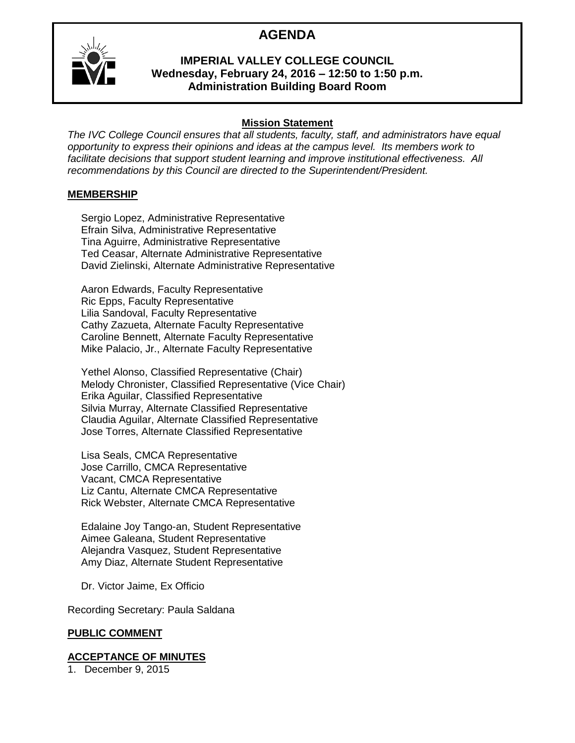# **AGENDA**



# **IMPERIAL VALLEY COLLEGE COUNCIL Wednesday, February 24, 2016 – 12:50 to 1:50 p.m. Administration Building Board Room**

# **Mission Statement**

*The IVC College Council ensures that all students, faculty, staff, and administrators have equal opportunity to express their opinions and ideas at the campus level. Its members work to facilitate decisions that support student learning and improve institutional effectiveness. All recommendations by this Council are directed to the Superintendent/President.*

# **MEMBERSHIP**

Sergio Lopez, Administrative Representative Efrain Silva, Administrative Representative Tina Aguirre, Administrative Representative Ted Ceasar, Alternate Administrative Representative David Zielinski, Alternate Administrative Representative

Aaron Edwards, Faculty Representative Ric Epps, Faculty Representative Lilia Sandoval, Faculty Representative Cathy Zazueta, Alternate Faculty Representative Caroline Bennett, Alternate Faculty Representative Mike Palacio, Jr., Alternate Faculty Representative

Yethel Alonso, Classified Representative (Chair) Melody Chronister, Classified Representative (Vice Chair) Erika Aguilar, Classified Representative Silvia Murray, Alternate Classified Representative Claudia Aguilar, Alternate Classified Representative Jose Torres, Alternate Classified Representative

Lisa Seals, CMCA Representative Jose Carrillo, CMCA Representative Vacant, CMCA Representative Liz Cantu, Alternate CMCA Representative Rick Webster, Alternate CMCA Representative

Edalaine Joy Tango-an, Student Representative Aimee Galeana, Student Representative Alejandra Vasquez, Student Representative Amy Diaz, Alternate Student Representative

Dr. Victor Jaime, Ex Officio

Recording Secretary: Paula Saldana

# **PUBLIC COMMENT**

# **ACCEPTANCE OF MINUTES**

1. December 9, 2015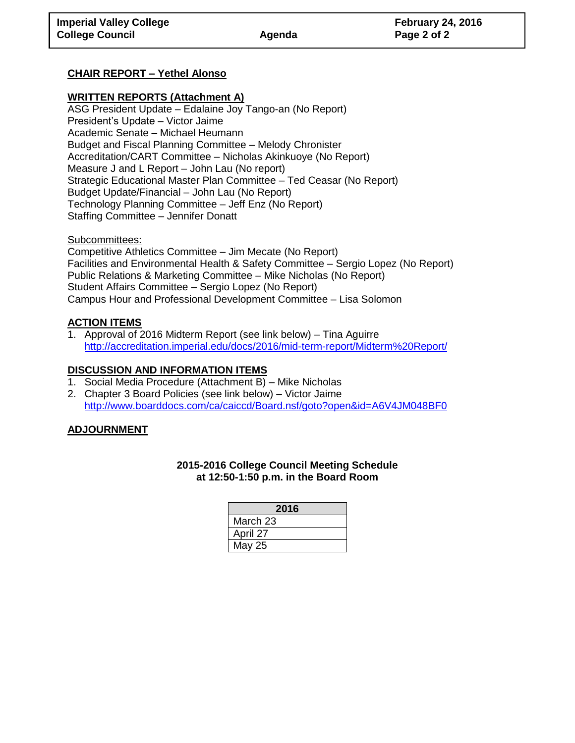# **CHAIR REPORT – Yethel Alonso**

# **WRITTEN REPORTS (Attachment A)**

ASG President Update – Edalaine Joy Tango-an (No Report) President's Update – Victor Jaime Academic Senate – Michael Heumann Budget and Fiscal Planning Committee – Melody Chronister Accreditation/CART Committee – Nicholas Akinkuoye (No Report) Measure J and L Report – John Lau (No report) Strategic Educational Master Plan Committee – Ted Ceasar (No Report) Budget Update/Financial – John Lau (No Report) Technology Planning Committee – Jeff Enz (No Report) Staffing Committee – Jennifer Donatt

Subcommittees:

Competitive Athletics Committee – Jim Mecate (No Report) Facilities and Environmental Health & Safety Committee – Sergio Lopez (No Report) Public Relations & Marketing Committee – Mike Nicholas (No Report) Student Affairs Committee – Sergio Lopez (No Report) Campus Hour and Professional Development Committee – Lisa Solomon

# **ACTION ITEMS**

1. Approval of 2016 Midterm Report (see link below) – Tina Aguirre <http://accreditation.imperial.edu/docs/2016/mid-term-report/Midterm%20Report/>

#### **DISCUSSION AND INFORMATION ITEMS**

- 1. Social Media Procedure (Attachment B) Mike Nicholas
- 2. Chapter 3 Board Policies (see link below) Victor Jaime <http://www.boarddocs.com/ca/caiccd/Board.nsf/goto?open&id=A6V4JM048BF0>

# **ADJOURNMENT**

#### **2015-2016 College Council Meeting Schedule at 12:50-1:50 p.m. in the Board Room**

| 2016     |
|----------|
| March 23 |
| April 27 |
| May 25   |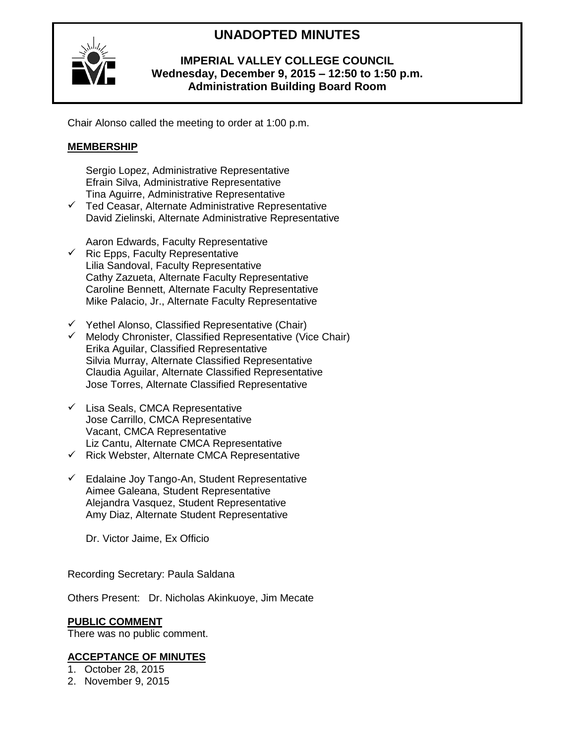# **UNADOPTED MINUTES**



# **IMPERIAL VALLEY COLLEGE COUNCIL Wednesday, December 9, 2015 – 12:50 to 1:50 p.m. Administration Building Board Room**

Chair Alonso called the meeting to order at 1:00 p.m.

# **MEMBERSHIP**

Sergio Lopez, Administrative Representative Efrain Silva, Administrative Representative Tina Aguirre, Administrative Representative

 $\checkmark$  Ted Ceasar, Alternate Administrative Representative David Zielinski, Alternate Administrative Representative

Aaron Edwards, Faculty Representative

- $\checkmark$  Ric Epps, Faculty Representative Lilia Sandoval, Faculty Representative Cathy Zazueta, Alternate Faculty Representative Caroline Bennett, Alternate Faculty Representative Mike Palacio, Jr., Alternate Faculty Representative
- $\checkmark$  Yethel Alonso, Classified Representative (Chair)
- $\checkmark$  Melody Chronister, Classified Representative (Vice Chair) Erika Aguilar, Classified Representative Silvia Murray, Alternate Classified Representative Claudia Aguilar, Alternate Classified Representative Jose Torres, Alternate Classified Representative
- $\checkmark$  Lisa Seals, CMCA Representative Jose Carrillo, CMCA Representative Vacant, CMCA Representative Liz Cantu, Alternate CMCA Representative
- $\checkmark$  Rick Webster, Alternate CMCA Representative
- $\checkmark$  Edalaine Joy Tango-An, Student Representative Aimee Galeana, Student Representative Alejandra Vasquez, Student Representative Amy Diaz, Alternate Student Representative

Dr. Victor Jaime, Ex Officio

Recording Secretary: Paula Saldana

Others Present: Dr. Nicholas Akinkuoye, Jim Mecate

# **PUBLIC COMMENT**

There was no public comment.

# **ACCEPTANCE OF MINUTES**

1. October 28, 2015

2. November 9, 2015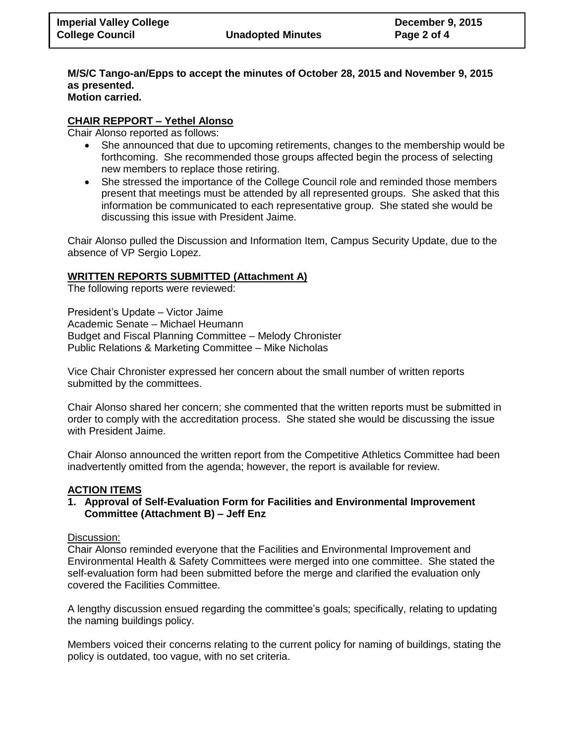#### **M/S/C Tango-an/Epps to accept the minutes of October 28, 2015 and November 9, 2015 as presented. Motion carried.**

# **CHAIR REPPORT – Yethel Alonso**

Chair Alonso reported as follows:

- She announced that due to upcoming retirements, changes to the membership would be forthcoming. She recommended those groups affected begin the process of selecting new members to replace those retiring.
- She stressed the importance of the College Council role and reminded those members present that meetings must be attended by all represented groups. She asked that this information be communicated to each representative group. She stated she would be discussing this issue with President Jaime.

Chair Alonso pulled the Discussion and Information Item, Campus Security Update, due to the absence of VP Sergio Lopez.

#### **WRITTEN REPORTS SUBMITTED (Attachment A)**

The following reports were reviewed:

President's Update – Victor Jaime Academic Senate – Michael Heumann Budget and Fiscal Planning Committee – Melody Chronister Public Relations & Marketing Committee – Mike Nicholas

Vice Chair Chronister expressed her concern about the small number of written reports submitted by the committees.

Chair Alonso shared her concern; she commented that the written reports must be submitted in order to comply with the accreditation process. She stated she would be discussing the issue with President Jaime.

Chair Alonso announced the written report from the Competitive Athletics Committee had been inadvertently omitted from the agenda; however, the report is available for review.

# **ACTION ITEMS**

**1. Approval of Self-Evaluation Form for Facilities and Environmental Improvement Committee (Attachment B) – Jeff Enz** 

#### Discussion:

Chair Alonso reminded everyone that the Facilities and Environmental Improvement and Environmental Health & Safety Committees were merged into one committee. She stated the self-evaluation form had been submitted before the merge and clarified the evaluation only covered the Facilities Committee.

A lengthy discussion ensued regarding the committee's goals; specifically, relating to updating the naming buildings policy.

Members voiced their concerns relating to the current policy for naming of buildings, stating the policy is outdated, too vague, with no set criteria.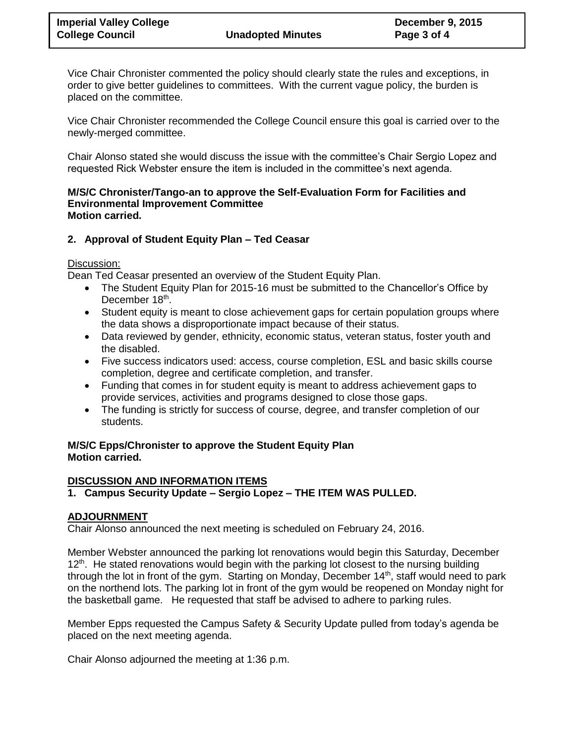Vice Chair Chronister commented the policy should clearly state the rules and exceptions, in order to give better guidelines to committees. With the current vague policy, the burden is placed on the committee.

Vice Chair Chronister recommended the College Council ensure this goal is carried over to the newly-merged committee.

Chair Alonso stated she would discuss the issue with the committee's Chair Sergio Lopez and requested Rick Webster ensure the item is included in the committee's next agenda.

#### **M/S/C Chronister/Tango-an to approve the Self-Evaluation Form for Facilities and Environmental Improvement Committee Motion carried.**

# **2. Approval of Student Equity Plan – Ted Ceasar**

#### Discussion:

Dean Ted Ceasar presented an overview of the Student Equity Plan.

- The Student Equity Plan for 2015-16 must be submitted to the Chancellor's Office by December 18<sup>th</sup>.
- Student equity is meant to close achievement gaps for certain population groups where the data shows a disproportionate impact because of their status.
- Data reviewed by gender, ethnicity, economic status, veteran status, foster youth and the disabled.
- Five success indicators used: access, course completion, ESL and basic skills course completion, degree and certificate completion, and transfer.
- Funding that comes in for student equity is meant to address achievement gaps to provide services, activities and programs designed to close those gaps.
- The funding is strictly for success of course, degree, and transfer completion of our students.

# **M/S/C Epps/Chronister to approve the Student Equity Plan Motion carried.**

# **DISCUSSION AND INFORMATION ITEMS**

# **1. Campus Security Update – Sergio Lopez – THE ITEM WAS PULLED.**

# **ADJOURNMENT**

Chair Alonso announced the next meeting is scheduled on February 24, 2016.

Member Webster announced the parking lot renovations would begin this Saturday, December  $12<sup>th</sup>$ . He stated renovations would begin with the parking lot closest to the nursing building through the lot in front of the gym. Starting on Monday, December 14<sup>th</sup>, staff would need to park on the northend lots. The parking lot in front of the gym would be reopened on Monday night for the basketball game. He requested that staff be advised to adhere to parking rules.

Member Epps requested the Campus Safety & Security Update pulled from today's agenda be placed on the next meeting agenda.

Chair Alonso adjourned the meeting at 1:36 p.m.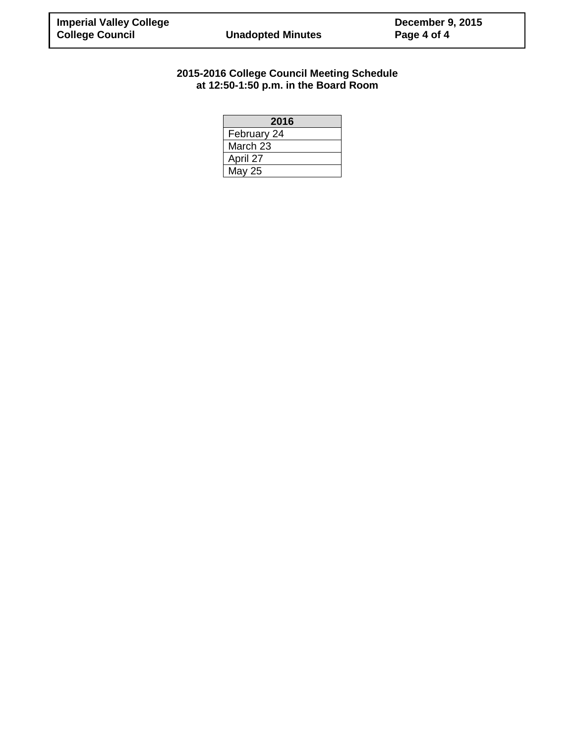# **2015-2016 College Council Meeting Schedule at 12:50-1:50 p.m. in the Board Room**

| 2016        |
|-------------|
| February 24 |
| March 23    |
| April 27    |
| May 25      |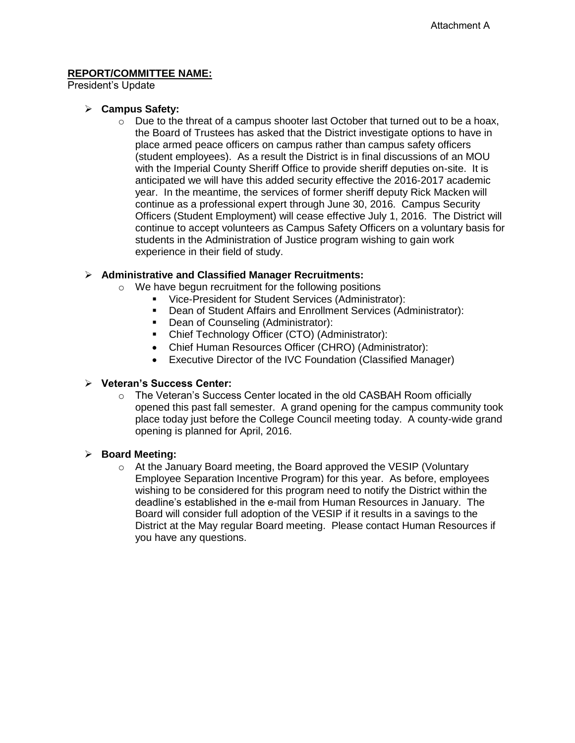President's Update

#### **Campus Safety:**

 $\circ$  Due to the threat of a campus shooter last October that turned out to be a hoax, the Board of Trustees has asked that the District investigate options to have in place armed peace officers on campus rather than campus safety officers (student employees). As a result the District is in final discussions of an MOU with the Imperial County Sheriff Office to provide sheriff deputies on-site. It is anticipated we will have this added security effective the 2016-2017 academic year. In the meantime, the services of former sheriff deputy Rick Macken will continue as a professional expert through June 30, 2016. Campus Security Officers (Student Employment) will cease effective July 1, 2016. The District will continue to accept volunteers as Campus Safety Officers on a voluntary basis for students in the Administration of Justice program wishing to gain work experience in their field of study.

# **Administrative and Classified Manager Recruitments:**

- o We have begun recruitment for the following positions
	- Vice-President for Student Services (Administrator):
	- Dean of Student Affairs and Enrollment Services (Administrator):
	- **-** Dean of Counseling (Administrator):
	- Chief Technology Officer (CTO) (Administrator):
	- Chief Human Resources Officer (CHRO) (Administrator):
	- Executive Director of the IVC Foundation (Classified Manager)

#### **Veteran's Success Center:**

o The Veteran's Success Center located in the old CASBAH Room officially opened this past fall semester. A grand opening for the campus community took place today just before the College Council meeting today. A county-wide grand opening is planned for April, 2016.

#### **Board Meeting:**

o At the January Board meeting, the Board approved the VESIP (Voluntary Employee Separation Incentive Program) for this year. As before, employees wishing to be considered for this program need to notify the District within the deadline's established in the e-mail from Human Resources in January. The Board will consider full adoption of the VESIP if it results in a savings to the District at the May regular Board meeting. Please contact Human Resources if you have any questions.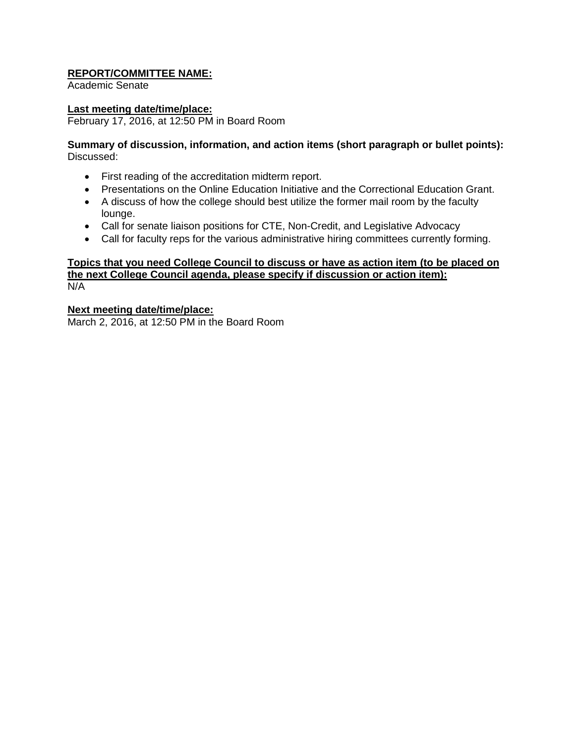Academic Senate

#### **Last meeting date/time/place:**

February 17, 2016, at 12:50 PM in Board Room

#### **Summary of discussion, information, and action items (short paragraph or bullet points):** Discussed:

- First reading of the accreditation midterm report.
- Presentations on the Online Education Initiative and the Correctional Education Grant.
- A discuss of how the college should best utilize the former mail room by the faculty lounge.
- Call for senate liaison positions for CTE, Non-Credit, and Legislative Advocacy
- Call for faculty reps for the various administrative hiring committees currently forming.

#### **Topics that you need College Council to discuss or have as action item (to be placed on the next College Council agenda, please specify if discussion or action item):** N/A

#### **Next meeting date/time/place:**

March 2, 2016, at 12:50 PM in the Board Room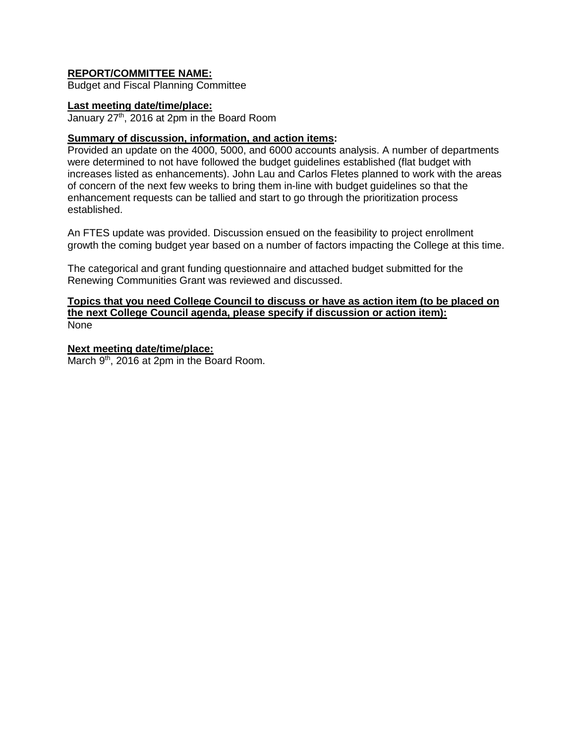Budget and Fiscal Planning Committee

#### **Last meeting date/time/place:**

January  $27<sup>th</sup>$ , 2016 at 2pm in the Board Room

#### **Summary of discussion, information, and action items:**

Provided an update on the 4000, 5000, and 6000 accounts analysis. A number of departments were determined to not have followed the budget guidelines established (flat budget with increases listed as enhancements). John Lau and Carlos Fletes planned to work with the areas of concern of the next few weeks to bring them in-line with budget guidelines so that the enhancement requests can be tallied and start to go through the prioritization process established.

An FTES update was provided. Discussion ensued on the feasibility to project enrollment growth the coming budget year based on a number of factors impacting the College at this time.

The categorical and grant funding questionnaire and attached budget submitted for the Renewing Communities Grant was reviewed and discussed.

#### **Topics that you need College Council to discuss or have as action item (to be placed on the next College Council agenda, please specify if discussion or action item):** None

#### **Next meeting date/time/place:**

March 9<sup>th</sup>, 2016 at 2pm in the Board Room.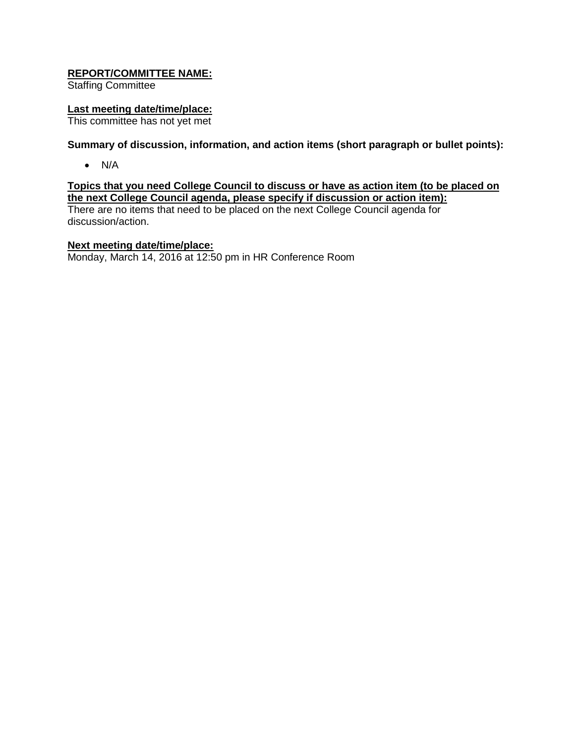Staffing Committee

#### **Last meeting date/time/place:**

This committee has not yet met

# **Summary of discussion, information, and action items (short paragraph or bullet points):**

 $\bullet$  N/A

# **Topics that you need College Council to discuss or have as action item (to be placed on the next College Council agenda, please specify if discussion or action item):**

There are no items that need to be placed on the next College Council agenda for discussion/action.

#### **Next meeting date/time/place:**

Monday, March 14, 2016 at 12:50 pm in HR Conference Room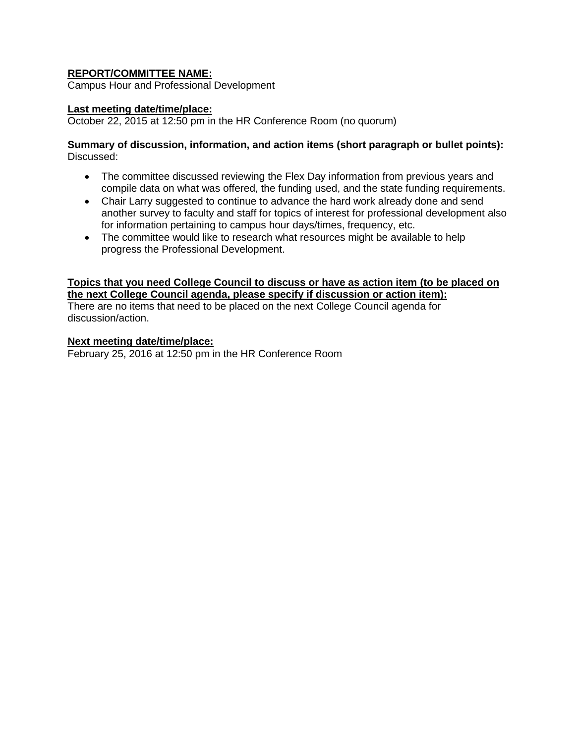Campus Hour and Professional Development

#### **Last meeting date/time/place:**

October 22, 2015 at 12:50 pm in the HR Conference Room (no quorum)

#### **Summary of discussion, information, and action items (short paragraph or bullet points):** Discussed:

- The committee discussed reviewing the Flex Day information from previous years and compile data on what was offered, the funding used, and the state funding requirements.
- Chair Larry suggested to continue to advance the hard work already done and send another survey to faculty and staff for topics of interest for professional development also for information pertaining to campus hour days/times, frequency, etc.
- The committee would like to research what resources might be available to help progress the Professional Development.

#### **Topics that you need College Council to discuss or have as action item (to be placed on the next College Council agenda, please specify if discussion or action item):** There are no items that need to be placed on the next College Council agenda for discussion/action.

#### **Next meeting date/time/place:**

February 25, 2016 at 12:50 pm in the HR Conference Room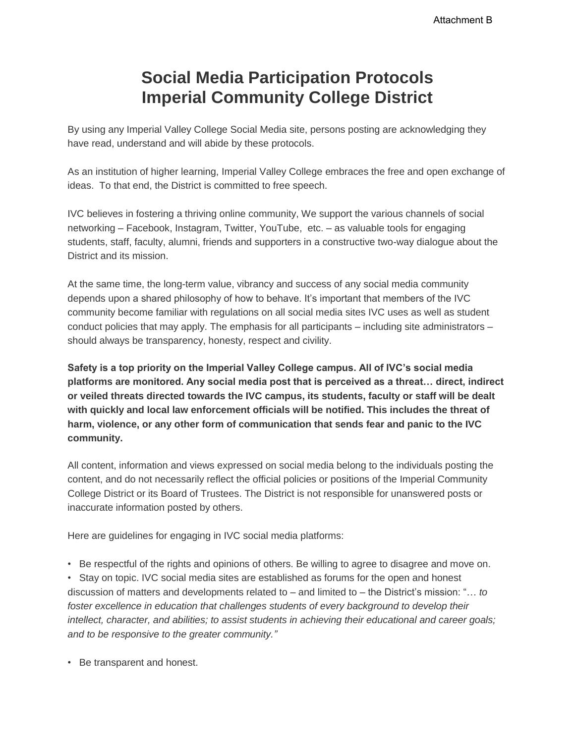# **Social Media Participation Protocols Imperial Community College District**

By using any Imperial Valley College Social Media site, persons posting are acknowledging they have read, understand and will abide by these protocols.

As an institution of higher learning, Imperial Valley College embraces the free and open exchange of ideas. To that end, the District is committed to free speech.

IVC believes in fostering a thriving online community, We support the various channels of social networking – Facebook, Instagram, Twitter, YouTube, etc. – as valuable tools for engaging students, staff, faculty, alumni, friends and supporters in a constructive two-way dialogue about the District and its mission.

At the same time, the long-term value, vibrancy and success of any social media community depends upon a shared philosophy of how to behave. It's important that members of the IVC community become familiar with regulations on all social media sites IVC uses as well as student conduct policies that may apply. The emphasis for all participants – including site administrators – should always be transparency, honesty, respect and civility.

**Safety is a top priority on the Imperial Valley College campus. All of IVC's social media platforms are monitored. Any social media post that is perceived as a threat… direct, indirect or veiled threats directed towards the IVC campus, its students, faculty or staff will be dealt with quickly and local law enforcement officials will be notified. This includes the threat of harm, violence, or any other form of communication that sends fear and panic to the IVC community.** 

All content, information and views expressed on social media belong to the individuals posting the content, and do not necessarily reflect the official policies or positions of the Imperial Community College District or its Board of Trustees. The District is not responsible for unanswered posts or inaccurate information posted by others.

Here are guidelines for engaging in IVC social media platforms:

• Be respectful of the rights and opinions of others. Be willing to agree to disagree and move on.

• Stay on topic. IVC social media sites are established as forums for the open and honest discussion of matters and developments related to – and limited to – the District's mission: "… *to foster excellence in education that challenges students of every background to develop their intellect, character, and abilities; to assist students in achieving their educational and career goals; and to be responsive to the greater community."*

• Be transparent and honest.